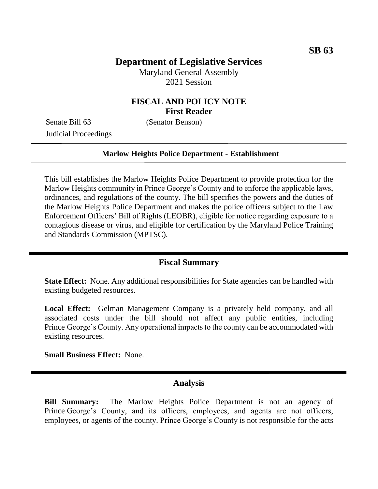# **Department of Legislative Services**

Maryland General Assembly 2021 Session

## **FISCAL AND POLICY NOTE First Reader**

Senate Bill 63 (Senator Benson) Judicial Proceedings

#### **Marlow Heights Police Department - Establishment**

This bill establishes the Marlow Heights Police Department to provide protection for the Marlow Heights community in Prince George's County and to enforce the applicable laws, ordinances, and regulations of the county. The bill specifies the powers and the duties of the Marlow Heights Police Department and makes the police officers subject to the Law Enforcement Officers' Bill of Rights (LEOBR), eligible for notice regarding exposure to a contagious disease or virus, and eligible for certification by the Maryland Police Training and Standards Commission (MPTSC).

### **Fiscal Summary**

**State Effect:** None. Any additional responsibilities for State agencies can be handled with existing budgeted resources.

**Local Effect:** Gelman Management Company is a privately held company, and all associated costs under the bill should not affect any public entities, including Prince George's County. Any operational impacts to the county can be accommodated with existing resources.

**Small Business Effect:** None.

### **Analysis**

**Bill Summary:** The Marlow Heights Police Department is not an agency of Prince George's County, and its officers, employees, and agents are not officers, employees, or agents of the county. Prince George's County is not responsible for the acts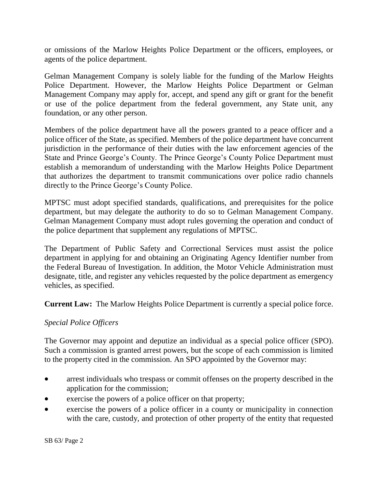or omissions of the Marlow Heights Police Department or the officers, employees, or agents of the police department.

Gelman Management Company is solely liable for the funding of the Marlow Heights Police Department. However, the Marlow Heights Police Department or Gelman Management Company may apply for, accept, and spend any gift or grant for the benefit or use of the police department from the federal government, any State unit, any foundation, or any other person.

Members of the police department have all the powers granted to a peace officer and a police officer of the State, as specified. Members of the police department have concurrent jurisdiction in the performance of their duties with the law enforcement agencies of the State and Prince George's County. The Prince George's County Police Department must establish a memorandum of understanding with the Marlow Heights Police Department that authorizes the department to transmit communications over police radio channels directly to the Prince George's County Police.

MPTSC must adopt specified standards, qualifications, and prerequisites for the police department, but may delegate the authority to do so to Gelman Management Company. Gelman Management Company must adopt rules governing the operation and conduct of the police department that supplement any regulations of MPTSC.

The Department of Public Safety and Correctional Services must assist the police department in applying for and obtaining an Originating Agency Identifier number from the Federal Bureau of Investigation. In addition, the Motor Vehicle Administration must designate, title, and register any vehicles requested by the police department as emergency vehicles, as specified.

**Current Law:** The Marlow Heights Police Department is currently a special police force.

### *Special Police Officers*

The Governor may appoint and deputize an individual as a special police officer (SPO). Such a commission is granted arrest powers, but the scope of each commission is limited to the property cited in the commission. An SPO appointed by the Governor may:

- arrest individuals who trespass or commit offenses on the property described in the application for the commission;
- exercise the powers of a police officer on that property;
- exercise the powers of a police officer in a county or municipality in connection with the care, custody, and protection of other property of the entity that requested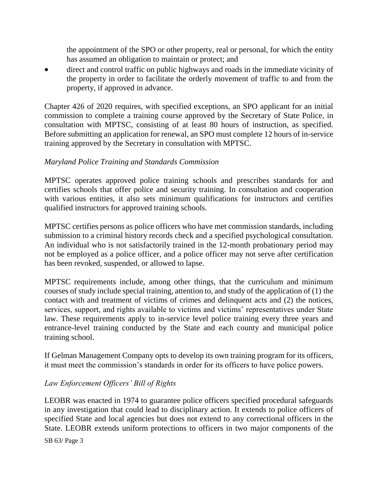the appointment of the SPO or other property, real or personal, for which the entity has assumed an obligation to maintain or protect; and

 direct and control traffic on public highways and roads in the immediate vicinity of the property in order to facilitate the orderly movement of traffic to and from the property, if approved in advance.

Chapter 426 of 2020 requires, with specified exceptions, an SPO applicant for an initial commission to complete a training course approved by the Secretary of State Police, in consultation with MPTSC, consisting of at least 80 hours of instruction, as specified. Before submitting an application for renewal, an SPO must complete 12 hours of in-service training approved by the Secretary in consultation with MPTSC.

## *Maryland Police Training and Standards Commission*

MPTSC operates approved police training schools and prescribes standards for and certifies schools that offer police and security training. In consultation and cooperation with various entities, it also sets minimum qualifications for instructors and certifies qualified instructors for approved training schools.

MPTSC certifies persons as police officers who have met commission standards, including submission to a criminal history records check and a specified psychological consultation. An individual who is not satisfactorily trained in the 12-month probationary period may not be employed as a police officer, and a police officer may not serve after certification has been revoked, suspended, or allowed to lapse.

MPTSC requirements include, among other things, that the curriculum and minimum courses of study include special training, attention to, and study of the application of (1) the contact with and treatment of victims of crimes and delinquent acts and (2) the notices, services, support, and rights available to victims and victims' representatives under State law. These requirements apply to in-service level police training every three years and entrance-level training conducted by the State and each county and municipal police training school.

If Gelman Management Company opts to develop its own training program for its officers, it must meet the commission's standards in order for its officers to have police powers.

# *Law Enforcement Officers' Bill of Rights*

LEOBR was enacted in 1974 to guarantee police officers specified procedural safeguards in any investigation that could lead to disciplinary action. It extends to police officers of specified State and local agencies but does not extend to any correctional officers in the State. LEOBR extends uniform protections to officers in two major components of the

SB 63/ Page 3